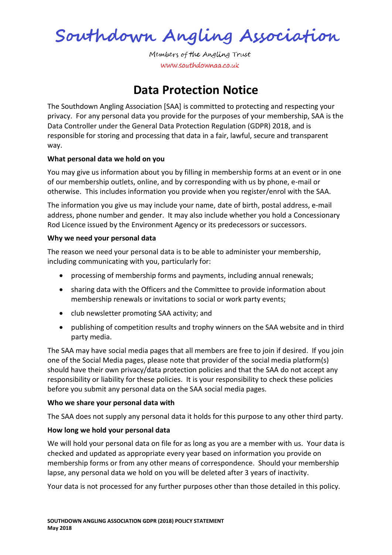Southdown Angling Association

Members of the Angling Trust www.southdownaa.co.uk

# **Data Protection Notice**

The Southdown Angling Association [SAA] is committed to protecting and respecting your privacy. For any personal data you provide for the purposes of your membership, SAA is the Data Controller under the General Data Protection Regulation (GDPR) 2018, and is responsible for storing and processing that data in a fair, lawful, secure and transparent way.

## **What personal data we hold on you**

You may give us information about you by filling in membership forms at an event or in one of our membership outlets, online, and by corresponding with us by phone, e-mail or otherwise. This includes information you provide when you register/enrol with the SAA.

The information you give us may include your name, date of birth, postal address, e-mail address, phone number and gender. It may also include whether you hold a Concessionary Rod Licence issued by the Environment Agency or its predecessors or successors.

### **Why we need your personal data**

The reason we need your personal data is to be able to administer your membership, including communicating with you, particularly for:

- processing of membership forms and payments, including annual renewals;
- sharing data with the Officers and the Committee to provide information about membership renewals or invitations to social or work party events;
- club newsletter promoting SAA activity; and
- publishing of competition results and trophy winners on the SAA website and in third party media.

The SAA may have social media pages that all members are free to join if desired. If you join one of the Social Media pages, please note that provider of the social media platform(s) should have their own privacy/data protection policies and that the SAA do not accept any responsibility or liability for these policies. It is your responsibility to check these policies before you submit any personal data on the SAA social media pages.

### **Who we share your personal data with**

The SAA does not supply any personal data it holds for this purpose to any other third party.

## **How long we hold your personal data**

We will hold your personal data on file for as long as you are a member with us. Your data is checked and updated as appropriate every year based on information you provide on membership forms or from any other means of correspondence. Should your membership lapse, any personal data we hold on you will be deleted after 3 years of inactivity.

Your data is not processed for any further purposes other than those detailed in this policy.